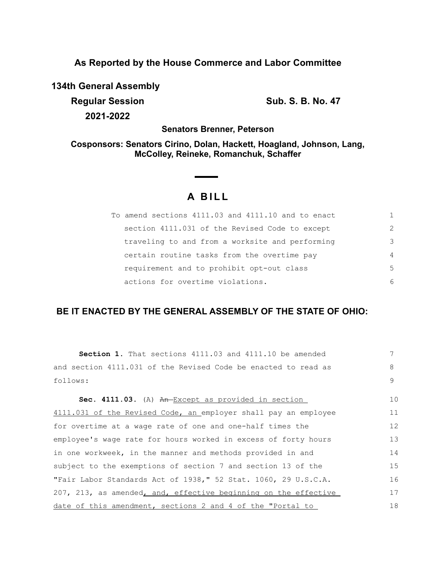**As Reported by the House Commerce and Labor Committee**

**134th General Assembly**

**Regular Session Sub. S. B. No. 47 Sub. S. B. No. 47 2021-2022**

**Senators Brenner, Peterson**

**Cosponsors: Senators Cirino, Dolan, Hackett, Hoagland, Johnson, Lang, McColley, Reineke, Romanchuk, Schaffer**

## **A B I L L**

| To amend sections 4111.03 and 4111.10 and to enact |                |
|----------------------------------------------------|----------------|
| section 4111.031 of the Revised Code to except     | $\mathcal{P}$  |
| traveling to and from a worksite and performing    | 3              |
| certain routine tasks from the overtime pay        | $\overline{4}$ |
| requirement and to prohibit opt-out class          | 5              |
| actions for overtime violations.                   | 6              |

### **BE IT ENACTED BY THE GENERAL ASSEMBLY OF THE STATE OF OHIO:**

| <b>Section 1.</b> That sections 4111.03 and 4111.10 be amended  | 7  |
|-----------------------------------------------------------------|----|
| and section 4111.031 of the Revised Code be enacted to read as  | 8  |
| follows:                                                        | 9  |
|                                                                 |    |
| Sec. 4111.03. (A) An-Except as provided in section              | 10 |
| 4111.031 of the Revised Code, an employer shall pay an employee | 11 |
| for overtime at a wage rate of one and one-half times the       | 12 |
| employee's wage rate for hours worked in excess of forty hours  | 13 |
| in one workweek, in the manner and methods provided in and      | 14 |
| subject to the exemptions of section 7 and section 13 of the    | 15 |
| "Fair Labor Standards Act of 1938," 52 Stat. 1060, 29 U.S.C.A.  | 16 |
| 207, 213, as amended, and, effective beginning on the effective | 17 |
| date of this amendment, sections 2 and 4 of the "Portal to      | 18 |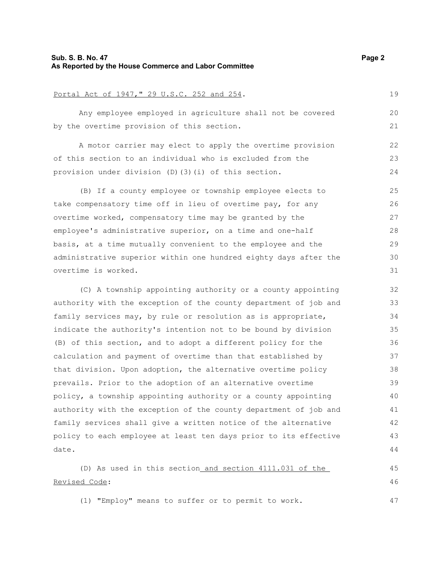### **Sub. S. B. No. 47 Page 2 As Reported by the House Commerce and Labor Committee**

# Portal Act of 1947," 29 U.S.C. 252 and 254. Any employee employed in agriculture shall not be covered by the overtime provision of this section. A motor carrier may elect to apply the overtime provision

of this section to an individual who is excluded from the provision under division (D)(3)(i) of this section. 22 23 24

(B) If a county employee or township employee elects to take compensatory time off in lieu of overtime pay, for any overtime worked, compensatory time may be granted by the employee's administrative superior, on a time and one-half basis, at a time mutually convenient to the employee and the administrative superior within one hundred eighty days after the overtime is worked. 25 26 27 28 29 30 31

(C) A township appointing authority or a county appointing authority with the exception of the county department of job and family services may, by rule or resolution as is appropriate, indicate the authority's intention not to be bound by division (B) of this section, and to adopt a different policy for the calculation and payment of overtime than that established by that division. Upon adoption, the alternative overtime policy prevails. Prior to the adoption of an alternative overtime policy, a township appointing authority or a county appointing authority with the exception of the county department of job and family services shall give a written notice of the alternative policy to each employee at least ten days prior to its effective date. 32 33 34 35 36 37 38 39 40 41 42 43 44

(D) As used in this section and section 4111.031 of the Revised Code: 45 46

(1) "Employ" means to suffer or to permit to work.

19

20 21

47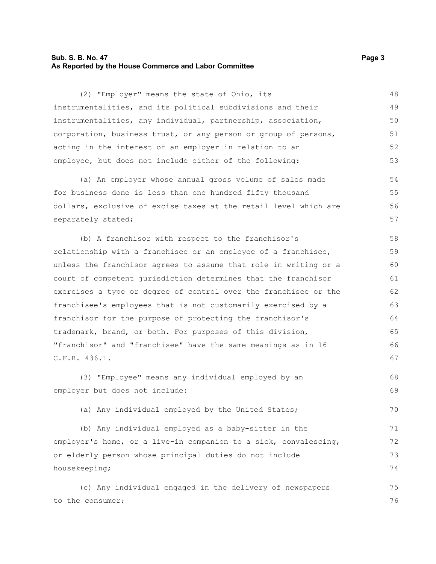### **Sub. S. B. No. 47 Page 3 As Reported by the House Commerce and Labor Committee**

(2) "Employer" means the state of Ohio, its instrumentalities, and its political subdivisions and their instrumentalities, any individual, partnership, association, corporation, business trust, or any person or group of persons, acting in the interest of an employer in relation to an employee, but does not include either of the following: 48 49 50 51 52 53

(a) An employer whose annual gross volume of sales made for business done is less than one hundred fifty thousand dollars, exclusive of excise taxes at the retail level which are separately stated; 54 55 56 57

(b) A franchisor with respect to the franchisor's relationship with a franchisee or an employee of a franchisee, unless the franchisor agrees to assume that role in writing or a court of competent jurisdiction determines that the franchisor exercises a type or degree of control over the franchisee or the franchisee's employees that is not customarily exercised by a franchisor for the purpose of protecting the franchisor's trademark, brand, or both. For purposes of this division, "franchisor" and "franchisee" have the same meanings as in 16 C.F.R. 436.1. 58 59 60 61 62 63 64 65 66 67

(3) "Employee" means any individual employed by an employer but does not include: 68 69

(a) Any individual employed by the United States;

(b) Any individual employed as a baby-sitter in the employer's home, or a live-in companion to a sick, convalescing, or elderly person whose principal duties do not include housekeeping; 71 72 73 74

(c) Any individual engaged in the delivery of newspapers to the consumer; 75 76

70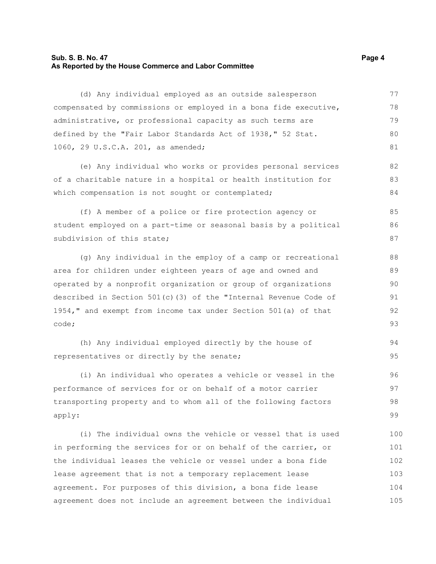### **Sub. S. B. No. 47 Page 4 As Reported by the House Commerce and Labor Committee**

(d) Any individual employed as an outside salesperson compensated by commissions or employed in a bona fide executive, administrative, or professional capacity as such terms are defined by the "Fair Labor Standards Act of 1938," 52 Stat. 1060, 29 U.S.C.A. 201, as amended; 77 78 79 80 81

(e) Any individual who works or provides personal services of a charitable nature in a hospital or health institution for which compensation is not sought or contemplated;

(f) A member of a police or fire protection agency or student employed on a part-time or seasonal basis by a political subdivision of this state;

(g) Any individual in the employ of a camp or recreational area for children under eighteen years of age and owned and operated by a nonprofit organization or group of organizations described in Section 501(c)(3) of the "Internal Revenue Code of 1954," and exempt from income tax under Section 501(a) of that code;

```
(h) Any individual employed directly by the house of
representatives or directly by the senate; 
                                                                             94
                                                                             95
```
(i) An individual who operates a vehicle or vessel in the performance of services for or on behalf of a motor carrier transporting property and to whom all of the following factors apply: 96 97 98 99

(i) The individual owns the vehicle or vessel that is used in performing the services for or on behalf of the carrier, or the individual leases the vehicle or vessel under a bona fide lease agreement that is not a temporary replacement lease agreement. For purposes of this division, a bona fide lease agreement does not include an agreement between the individual 100 101 102 103 104 105

82 83 84

85 86 87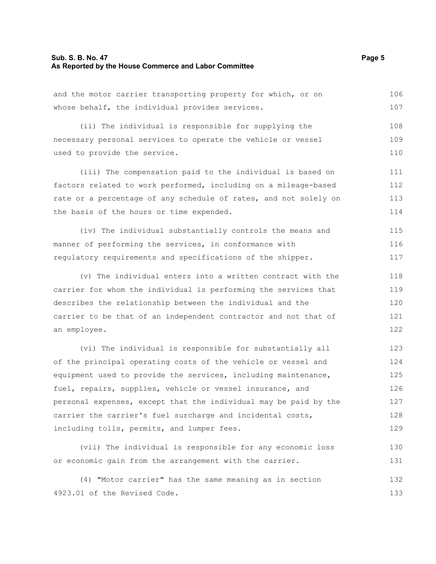### **Sub. S. B. No. 47 Page 5 As Reported by the House Commerce and Labor Committee**

and the motor carrier transporting property for which, or on whose behalf, the individual provides services. 106 107

(ii) The individual is responsible for supplying the necessary personal services to operate the vehicle or vessel used to provide the service. 108 109 110

(iii) The compensation paid to the individual is based on factors related to work performed, including on a mileage-based rate or a percentage of any schedule of rates, and not solely on the basis of the hours or time expended. 111 112 113 114

(iv) The individual substantially controls the means and manner of performing the services, in conformance with regulatory requirements and specifications of the shipper. 115 116 117

(v) The individual enters into a written contract with the carrier for whom the individual is performing the services that describes the relationship between the individual and the carrier to be that of an independent contractor and not that of an employee. 118 119 120 121 122

(vi) The individual is responsible for substantially all of the principal operating costs of the vehicle or vessel and equipment used to provide the services, including maintenance, fuel, repairs, supplies, vehicle or vessel insurance, and personal expenses, except that the individual may be paid by the carrier the carrier's fuel surcharge and incidental costs, including tolls, permits, and lumper fees. 123 124 125 126 127 128 129

(vii) The individual is responsible for any economic loss or economic gain from the arrangement with the carrier. 130 131

(4) "Motor carrier" has the same meaning as in section 4923.01 of the Revised Code. 132 133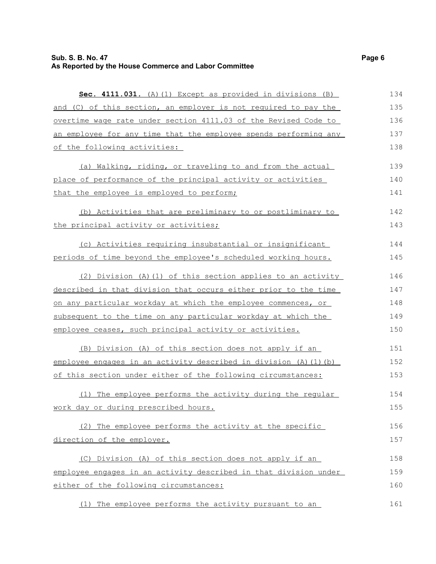| Sec. 4111.031. (A) (1) Except as provided in divisions (B)        | 134 |
|-------------------------------------------------------------------|-----|
| and (C) of this section, an employer is not required to pay the   | 135 |
| overtime wage rate under section 4111.03 of the Revised Code to   | 136 |
| an employee for any time that the employee spends performing any  | 137 |
| of the following activities:                                      | 138 |
| (a) Walking, riding, or traveling to and from the actual          | 139 |
| place of performance of the principal activity or activities      | 140 |
| that the employee is employed to perform;                         | 141 |
| (b) Activities that are preliminary to or postliminary to         | 142 |
| the principal activity or activities;                             | 143 |
| (c) Activities requiring insubstantial or insignificant           | 144 |
| periods of time beyond the employee's scheduled working hours.    | 145 |
| (2) Division (A) (1) of this section applies to an activity       | 146 |
| described in that division that occurs either prior to the time   | 147 |
| on any particular workday at which the employee commences, or     | 148 |
| subsequent to the time on any particular workday at which the     | 149 |
| employee ceases, such principal activity or activities.           | 150 |
| (B) Division (A) of this section does not apply if an             | 151 |
| employee engages in an activity described in division (A) (1) (b) | 152 |
| of this section under either of the following circumstances:      | 153 |
| (1) The employee performs the activity during the regular         | 154 |
| work day or during prescribed hours.                              | 155 |
| (2) The employee performs the activity at the specific            | 156 |
| direction of the employer.                                        | 157 |
| (C) Division (A) of this section does not apply if an             | 158 |
| employee engages in an activity described in that division under  | 159 |
| either of the following circumstances:                            | 160 |
| (1) The employee performs the activity pursuant to an             | 161 |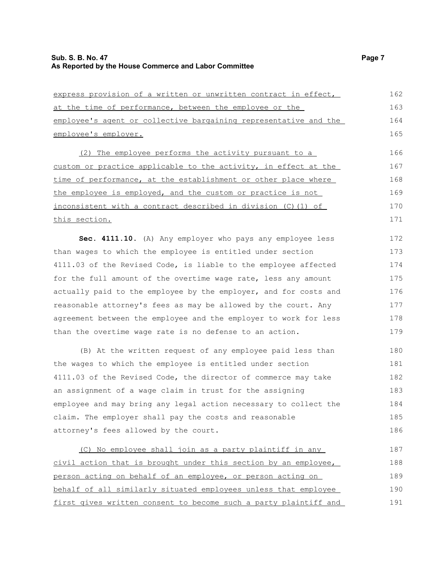| express provision of a written or unwritten contract in effect,  | 162 |
|------------------------------------------------------------------|-----|
| at the time of performance, between the employee or the          | 163 |
| employee's agent or collective bargaining representative and the | 164 |
| employee's employer.                                             | 165 |
| (2) The employee performs the activity pursuant to a             | 166 |
| custom or practice applicable to the activity, in effect at the  | 167 |
| time of performance, at the establishment or other place where   | 168 |
| the employee is employed, and the custom or practice is not      | 169 |
| inconsistent with a contract described in division (C)(1) of     | 170 |
| this section.                                                    | 171 |
| <b>Sec. 4111.10.</b> (A) Any employer who pays any employee less | 172 |

than wages to which the employee is entitled under section 4111.03 of the Revised Code, is liable to the employee affected for the full amount of the overtime wage rate, less any amount actually paid to the employee by the employer, and for costs and reasonable attorney's fees as may be allowed by the court. Any agreement between the employee and the employer to work for less than the overtime wage rate is no defense to an action. 173 174 175 176 177 178 179

(B) At the written request of any employee paid less than the wages to which the employee is entitled under section 4111.03 of the Revised Code, the director of commerce may take an assignment of a wage claim in trust for the assigning employee and may bring any legal action necessary to collect the claim. The employer shall pay the costs and reasonable attorney's fees allowed by the court. 180 181 182 183 184 185 186

(C) No employee shall join as a party plaintiff in any civil action that is brought under this section by an employee, person acting on behalf of an employee, or person acting on behalf of all similarly situated employees unless that employee first gives written consent to become such a party plaintiff and 187 188 189 190 191